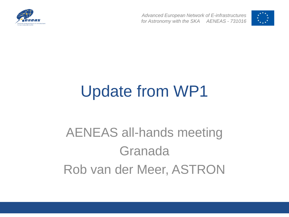

*Advanced European Network of E-infrastructures for Astronomy with the SKA AENEAS - 731016*



# Update from WP1

#### AENEAS all-hands meeting Granada Rob van der Meer, ASTRON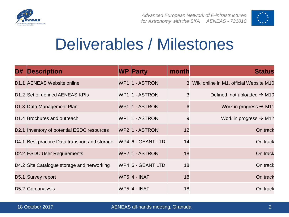



### Deliverables / Milestones

| D# | <b>Description</b>                            | <b>WP Party</b>     | month | <b>Status</b>                             |
|----|-----------------------------------------------|---------------------|-------|-------------------------------------------|
|    | D1.1 AENEAS Website online                    | WP1 1 - ASTRON      |       | 3 Wiki online in M1, official Website M10 |
|    | D1.2 Set of defined AENEAS KPIs               | WP1 1 - ASTRON      | 3     | Defined, not uploaded $\rightarrow$ M10   |
|    | D1.3 Data Management Plan                     | WP1 1 - ASTRON      | 6     | Work in progress $\rightarrow$ M11        |
|    | D1.4 Brochures and outreach                   | WP1 1 - ASTRON      | 9     | Work in progress $\rightarrow$ M12        |
|    | D2.1 Inventory of potential ESDC resources    | WP2 1 - ASTRON      | 12    | On track                                  |
|    | D4.1 Best practice Data transport and storage | WP4 6 - GEANT LTD   | 14    | On track                                  |
|    | <b>D2.2 ESDC User Requirements</b>            | WP2 1 - ASTRON      | 18    | On track                                  |
|    | D4.2 Site Catalogue storage and networking    | WP4 6 - GEANT LTD   | 18    | On track                                  |
|    | D5.1 Survey report                            | <b>WP5 4 - INAF</b> | 18    | On track                                  |
|    | D5.2 Gap analysis                             | <b>WP5 4 - INAF</b> | 18    | On track                                  |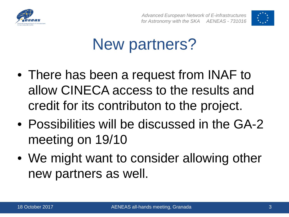



## New partners?

- There has been a request from INAF to allow CINECA access to the results and credit for its contributon to the project.
- Possibilities will be discussed in the GA-2 meeting on 19/10
- We might want to consider allowing other new partners as well.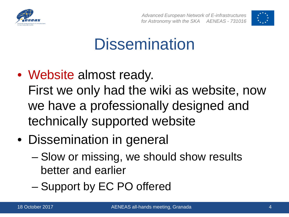



## **Dissemination**

- Website almost ready. First we only had the wiki as website, now we have a professionally designed and technically supported website
- Dissemination in general
	- Slow or missing, we should show results better and earlier
	- Support by EC PO offered